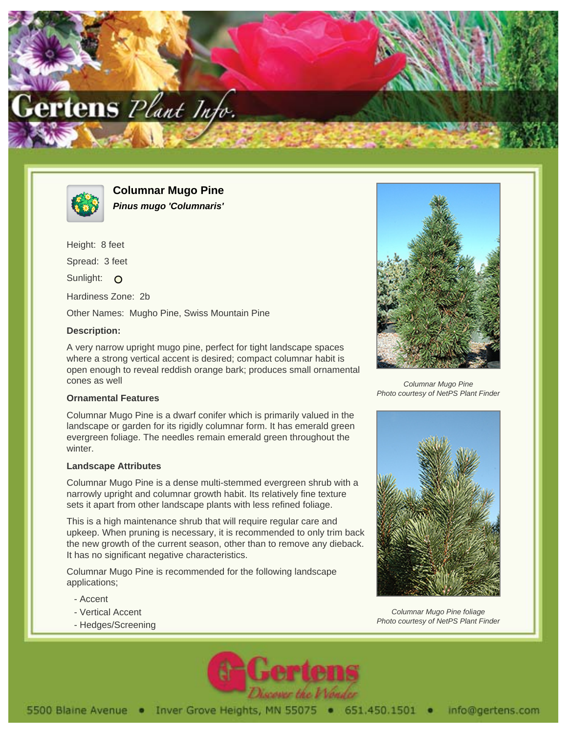



**Columnar Mugo Pine Pinus mugo 'Columnaris'**

Height: 8 feet Spread: 3 feet Sunlight: O Hardiness Zone: 2b Other Names: Mugho Pine, Swiss Mountain Pine

## **Description:**

A very narrow upright mugo pine, perfect for tight landscape spaces where a strong vertical accent is desired; compact columnar habit is open enough to reveal reddish orange bark; produces small ornamental cones as well

## **Ornamental Features**

Columnar Mugo Pine is a dwarf conifer which is primarily valued in the landscape or garden for its rigidly columnar form. It has emerald green evergreen foliage. The needles remain emerald green throughout the winter.

## **Landscape Attributes**

Columnar Mugo Pine is a dense multi-stemmed evergreen shrub with a narrowly upright and columnar growth habit. Its relatively fine texture sets it apart from other landscape plants with less refined foliage.

This is a high maintenance shrub that will require regular care and upkeep. When pruning is necessary, it is recommended to only trim back the new growth of the current season, other than to remove any dieback. It has no significant negative characteristics.

Columnar Mugo Pine is recommended for the following landscape applications;

- Accent
- Vertical Accent
- Hedges/Screening



Columnar Mugo Pine Photo courtesy of NetPS Plant Finder



Columnar Mugo Pine foliage Photo courtesy of NetPS Plant Finder